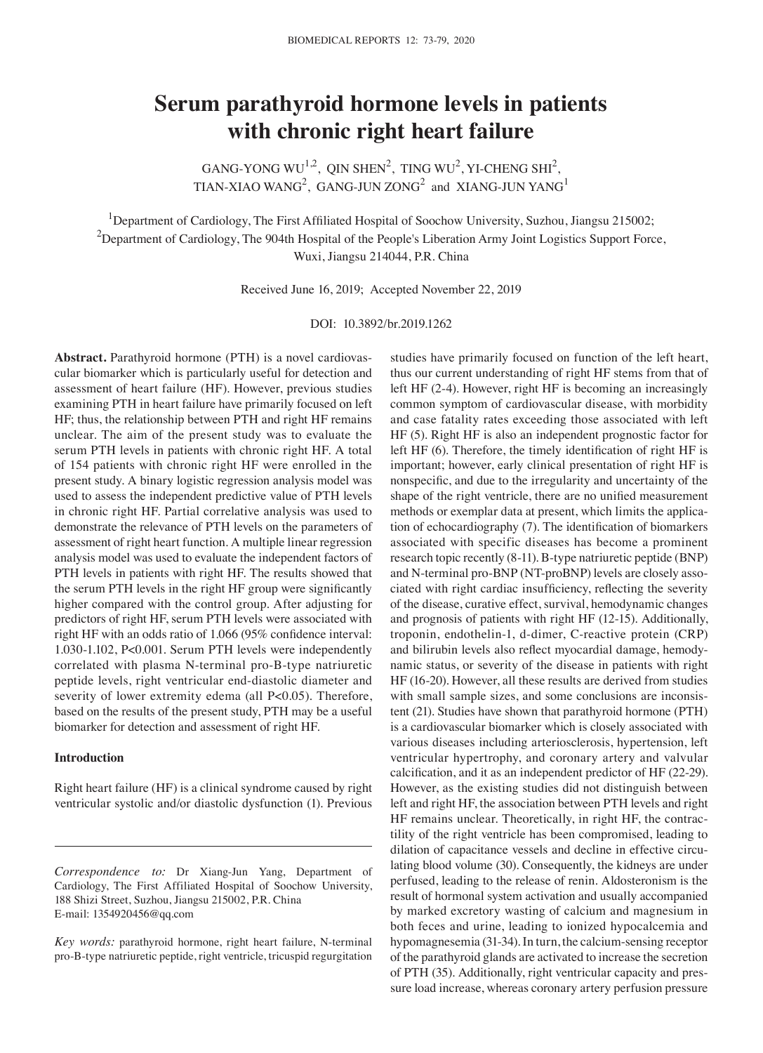# **Serum parathyroid hormone levels in patients with chronic right heart failure**

GANG-YONG WU<sup>1,2</sup>, QIN SHEN<sup>2</sup>, TING WU<sup>2</sup>, YI-CHENG SHI<sup>2</sup>, TIAN-XIAO WANG<sup>2</sup>, GANG-JUN ZONG<sup>2</sup> and XIANG-JUN YANG<sup>1</sup>

<sup>1</sup>Department of Cardiology, The First Affiliated Hospital of Soochow University, Suzhou, Jiangsu 215002;  $^2$ Department of Cardiology, The 904th Hospital of the People's Liberation Army Joint Logistics Support Force, Wuxi, Jiangsu 214044, P.R. China

Received June 16, 2019; Accepted November 22, 2019

DOI: 10.3892/br.2019.1262

**Abstract.** Parathyroid hormone (PTH) is a novel cardiovascular biomarker which is particularly useful for detection and assessment of heart failure (HF). However, previous studies examining PTH in heart failure have primarily focused on left HF; thus, the relationship between PTH and right HF remains unclear. The aim of the present study was to evaluate the serum PTH levels in patients with chronic right HF. A total of 154 patients with chronic right HF were enrolled in the present study. A binary logistic regression analysis model was used to assess the independent predictive value of PTH levels in chronic right HF. Partial correlative analysis was used to demonstrate the relevance of PTH levels on the parameters of assessment of right heart function. A multiple linear regression analysis model was used to evaluate the independent factors of PTH levels in patients with right HF. The results showed that the serum PTH levels in the right HF group were significantly higher compared with the control group. After adjusting for predictors of right HF, serum PTH levels were associated with right HF with an odds ratio of 1.066 (95% confidence interval: 1.030-1.102, P<0.001. Serum PTH levels were independently correlated with plasma N-terminal pro-B-type natriuretic peptide levels, right ventricular end-diastolic diameter and severity of lower extremity edema (all P<0.05). Therefore, based on the results of the present study, PTH may be a useful biomarker for detection and assessment of right HF.

#### **Introduction**

Right heart failure (HF) is a clinical syndrome caused by right ventricular systolic and/or diastolic dysfunction (1). Previous

*Correspondence to:* Dr Xiang-Jun Yang, Department of Cardiology, The First Affiliated Hospital of Soochow University, 188 Shizi Street, Suzhou, Jiangsu 215002, P.R. China E-mail: 1354920456@qq.com

*Key words:* parathyroid hormone, right heart failure, N-terminal pro-B-type natriuretic peptide, right ventricle, tricuspid regurgitation

studies have primarily focused on function of the left heart, thus our current understanding of right HF stems from that of left HF (2-4). However, right HF is becoming an increasingly common symptom of cardiovascular disease, with morbidity and case fatality rates exceeding those associated with left HF (5). Right HF is also an independent prognostic factor for left HF (6). Therefore, the timely identification of right HF is important; however, early clinical presentation of right HF is nonspecific, and due to the irregularity and uncertainty of the shape of the right ventricle, there are no unified measurement methods or exemplar data at present, which limits the application of echocardiography (7). The identification of biomarkers associated with specific diseases has become a prominent research topic recently (8-11). B-type natriuretic peptide (BNP) and N-terminal pro-BNP (NT-proBNP) levels are closely associated with right cardiac insufficiency, reflecting the severity of the disease, curative effect, survival, hemodynamic changes and prognosis of patients with right HF (12-15). Additionally, troponin, endothelin-1, d-dimer, C-reactive protein (CRP) and bilirubin levels also reflect myocardial damage, hemodynamic status, or severity of the disease in patients with right HF (16-20). However, all these results are derived from studies with small sample sizes, and some conclusions are inconsistent (21). Studies have shown that parathyroid hormone (PTH) is a cardiovascular biomarker which is closely associated with various diseases including arteriosclerosis, hypertension, left ventricular hypertrophy, and coronary artery and valvular calcification, and it as an independent predictor of HF (22‑29). However, as the existing studies did not distinguish between left and right HF, the association between PTH levels and right HF remains unclear. Theoretically, in right HF, the contractility of the right ventricle has been compromised, leading to dilation of capacitance vessels and decline in effective circulating blood volume (30). Consequently, the kidneys are under perfused, leading to the release of renin. Aldosteronism is the result of hormonal system activation and usually accompanied by marked excretory wasting of calcium and magnesium in both feces and urine, leading to ionized hypocalcemia and hypomagnesemia (31-34). In turn, the calcium-sensing receptor of the parathyroid glands are activated to increase the secretion of PTH (35). Additionally, right ventricular capacity and pressure load increase, whereas coronary artery perfusion pressure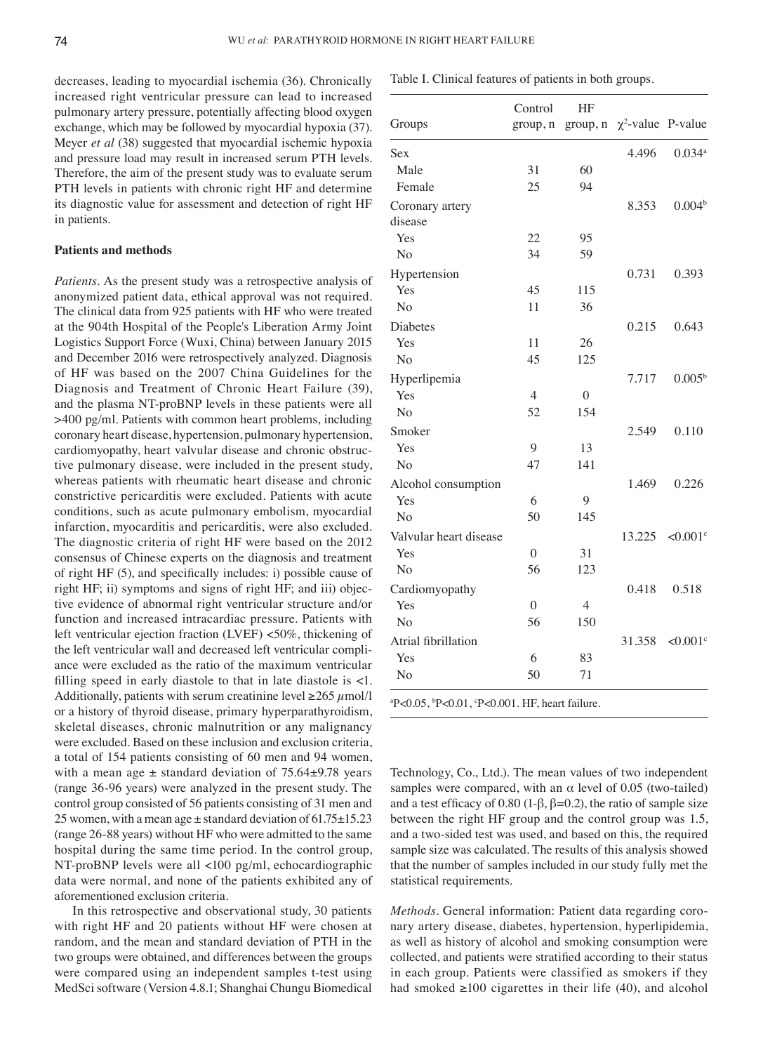decreases, leading to myocardial ischemia (36). Chronically increased right ventricular pressure can lead to increased pulmonary artery pressure, potentially affecting blood oxygen exchange, which may be followed by myocardial hypoxia (37). Meyer *et al* (38) suggested that myocardial ischemic hypoxia and pressure load may result in increased serum PTH levels. Therefore, the aim of the present study was to evaluate serum PTH levels in patients with chronic right HF and determine its diagnostic value for assessment and detection of right HF in patients.

### **Patients and methods**

*Patients.* As the present study was a retrospective analysis of anonymized patient data, ethical approval was not required. The clinical data from 925 patients with HF who were treated at the 904th Hospital of the People's Liberation Army Joint Logistics Support Force (Wuxi, China) between January 2015 and December 2016 were retrospectively analyzed. Diagnosis of HF was based on the 2007 China Guidelines for the Diagnosis and Treatment of Chronic Heart Failure (39), and the plasma NT-proBNP levels in these patients were all >400 pg/ml. Patients with common heart problems, including coronary heart disease, hypertension, pulmonary hypertension, cardiomyopathy, heart valvular disease and chronic obstructive pulmonary disease, were included in the present study, whereas patients with rheumatic heart disease and chronic constrictive pericarditis were excluded. Patients with acute conditions, such as acute pulmonary embolism, myocardial infarction, myocarditis and pericarditis, were also excluded. The diagnostic criteria of right HF were based on the 2012 consensus of Chinese experts on the diagnosis and treatment of right HF (5), and specifically includes: i) possible cause of right HF; ii) symptoms and signs of right HF; and iii) objective evidence of abnormal right ventricular structure and/or function and increased intracardiac pressure. Patients with left ventricular ejection fraction (LVEF) <50%, thickening of the left ventricular wall and decreased left ventricular compliance were excluded as the ratio of the maximum ventricular filling speed in early diastole to that in late diastole is  $\lt 1$ . Additionally, patients with serum creatinine level  $\geq 265 \mu$ mol/l or a history of thyroid disease, primary hyperparathyroidism, skeletal diseases, chronic malnutrition or any malignancy were excluded. Based on these inclusion and exclusion criteria, a total of 154 patients consisting of 60 men and 94 women, with a mean age  $\pm$  standard deviation of 75.64 $\pm$ 9.78 years (range 36-96 years) were analyzed in the present study. The control group consisted of 56 patients consisting of 31 men and 25 women, with a mean age  $\pm$  standard deviation of 61.75 $\pm$ 15.23 (range 26-88 years) without HF who were admitted to the same hospital during the same time period. In the control group, NT-proBNP levels were all <100 pg/ml, echocardiographic data were normal, and none of the patients exhibited any of aforementioned exclusion criteria.

In this retrospective and observational study, 30 patients with right HF and 20 patients without HF were chosen at random, and the mean and standard deviation of PTH in the two groups were obtained, and differences between the groups were compared using an independent samples t-test using MedSci software (Version 4.8.1; Shanghai Chungu Biomedical

|                            | Control        | HF               |                                  |                        |  |
|----------------------------|----------------|------------------|----------------------------------|------------------------|--|
| Groups                     | group, n       |                  | group, $n \chi^2$ -value P-value |                        |  |
| Sex                        |                |                  | 4.496                            | $0.034^{a}$            |  |
| Male                       | 31             | 60               |                                  |                        |  |
| Female                     | 25             | 94               |                                  |                        |  |
| Coronary artery<br>disease |                |                  | 8.353                            | 0.004 <sup>b</sup>     |  |
| Yes                        | 22             | 95               |                                  |                        |  |
| No                         | 34             | 59               |                                  |                        |  |
| Hypertension               |                |                  | 0.731                            | 0.393                  |  |
| Yes                        | 45             | 115              |                                  |                        |  |
| N <sub>o</sub>             | 11             | 36               |                                  |                        |  |
| Diabetes                   |                |                  | 0.215                            | 0.643                  |  |
| Yes                        | 11             | 26               |                                  |                        |  |
| N <sub>o</sub>             | 45             | 125              |                                  |                        |  |
| Hyperlipemia               |                |                  | 7.717                            | $0.005^{b}$            |  |
| Yes                        | $\overline{4}$ | $\boldsymbol{0}$ |                                  |                        |  |
| N <sub>o</sub>             | 52             | 154              |                                  |                        |  |
| Smoker                     |                |                  | 2.549                            | 0.110                  |  |
| Yes                        | 9              | 13               |                                  |                        |  |
| N <sub>o</sub>             | 47             | 141              |                                  |                        |  |
| Alcohol consumption        |                |                  | 1.469                            | 0.226                  |  |
| Yes                        | 6              | 9                |                                  |                        |  |
| N <sub>o</sub>             | 50             | 145              |                                  |                        |  |
| Valvular heart disease     |                |                  | 13.225                           | $< 0.001$ <sup>c</sup> |  |
| Yes                        | $\theta$       | 31               |                                  |                        |  |
| N <sub>o</sub>             | 56             | 123              |                                  |                        |  |
| Cardiomyopathy             |                |                  | 0.418                            | 0.518                  |  |
| Yes                        | $\Omega$       | $\overline{4}$   |                                  |                        |  |
| N <sub>o</sub>             | 56             | 150              |                                  |                        |  |
| Atrial fibrillation        |                |                  | 31.358                           | $< 0.001$ <sup>c</sup> |  |
| Yes                        | 6              | 83               |                                  |                        |  |
| No                         | 50             | 71               |                                  |                        |  |

 $P< 0.05$ ,  $\frac{b}{2}$  $P < 0.01$ , P<0.001. HF, heart failure.

Technology, Co., Ltd.). The mean values of two independent samples were compared, with an  $\alpha$  level of 0.05 (two-tailed) and a test efficacy of 0.80 (1- $\beta$ ,  $\beta$ =0.2), the ratio of sample size between the right HF group and the control group was 1.5, and a two-sided test was used, and based on this, the required sample size was calculated. The results of this analysis showed that the number of samples included in our study fully met the statistical requirements.

*Methods.* General information: Patient data regarding coronary artery disease, diabetes, hypertension, hyperlipidemia, as well as history of alcohol and smoking consumption were collected, and patients were stratified according to their status in each group. Patients were classified as smokers if they had smoked  $\geq 100$  cigarettes in their life (40), and alcohol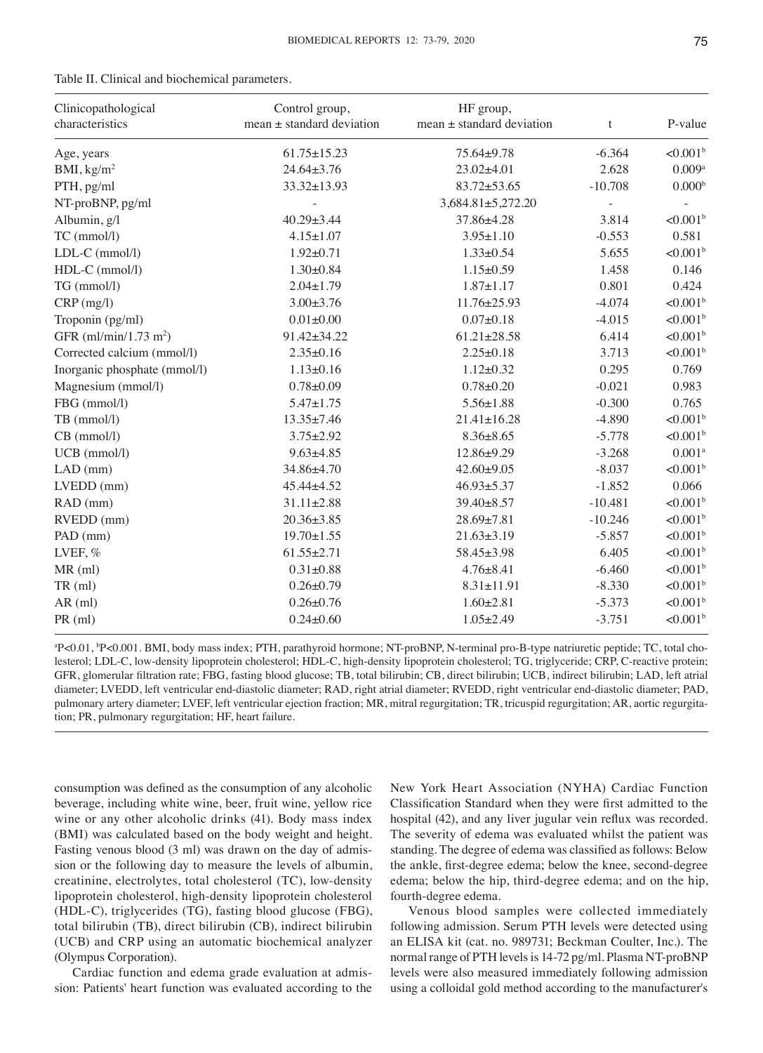| Clinicopathological<br>characteristics | Control group,<br>mean $\pm$ standard deviation | HF group,<br>$mean \pm standard deviation$ | $\mathbf t$ | P-value                 |
|----------------------------------------|-------------------------------------------------|--------------------------------------------|-------------|-------------------------|
| Age, years                             | $61.75 \pm 15.23$                               | 75.64±9.78                                 | $-6.364$    | $< 0.001^b$             |
| BMI, kg/m <sup>2</sup>                 | $24.64 \pm 3.76$                                | 23.02±4.01                                 | 2.628       | $0.009$                 |
| PTH, pg/ml                             | 33.32±13.93                                     | $83.72 \pm 53.65$                          | $-10.708$   | 0.000 <sup>b</sup>      |
| NT-proBNP, pg/ml                       |                                                 | 3,684.81±5,272.20                          |             |                         |
| Albumin, g/l                           | 40.29±3.44                                      | 37.86±4.28                                 | 3.814       | ${<}0.001$ <sup>b</sup> |
| TC (mmol/l)                            | $4.15 \pm 1.07$                                 | $3.95 \pm 1.10$                            | $-0.553$    | 0.581                   |
| LDL-C (mmol/l)                         | $1.92 \pm 0.71$                                 | $1.33 \pm 0.54$                            | 5.655       | $< 0.001^b$             |
| HDL-C (mmol/l)                         | $1.30 \pm 0.84$                                 | $1.15 \pm 0.59$                            | 1.458       | 0.146                   |
| TG (mmol/l)                            | $2.04 \pm 1.79$                                 | $1.87 \pm 1.17$                            | 0.801       | 0.424                   |
| $CRP$ (mg/l)                           | $3.00 \pm 3.76$                                 | $11.76 \pm 25.93$                          | $-4.074$    | $< 0.001^b$             |
| Troponin (pg/ml)                       | $0.01 + 0.00$                                   | $0.07 \pm 0.18$                            | $-4.015$    | $< 0.001$ <sup>b</sup>  |
| GFR $(ml/min/1.73 m2)$                 | 91.42±34.22                                     | $61.21 \pm 28.58$                          | 6.414       | $< 0.001$ <sup>b</sup>  |
| Corrected calcium (mmol/l)             | $2.35 \pm 0.16$                                 | $2.25 \pm 0.18$                            | 3.713       | $< 0.001^b$             |
| Inorganic phosphate (mmol/l)           | $1.13 \pm 0.16$                                 | $1.12 \pm 0.32$                            | 0.295       | 0.769                   |
| Magnesium (mmol/l)                     | $0.78 + 0.09$                                   | $0.78 + 0.20$                              | $-0.021$    | 0.983                   |
| FBG (mmol/l)                           | $5.47 \pm 1.75$                                 | $5.56 \pm 1.88$                            | $-0.300$    | 0.765                   |
| TB (mmol/l)                            | $13.35 \pm 7.46$                                | $21.41 \pm 16.28$                          | $-4.890$    | $< 0.001^b$             |
| CB (mmol/l)                            | $3.75 \pm 2.92$                                 | $8.36 \pm 8.65$                            | $-5.778$    | $< 0.001$ <sup>b</sup>  |
| UCB (mmol/l)                           | $9.63 \pm 4.85$                                 | $12.86 \pm 9.29$                           | $-3.268$    | 0.001 <sup>a</sup>      |
| $LAD$ (mm)                             | 34.86±4.70                                      | $42.60 + 9.05$                             | $-8.037$    | $< 0.001$ <sup>b</sup>  |
| LVEDD (mm)                             | 45.44±4.52                                      | $46.93 \pm 5.37$                           | $-1.852$    | 0.066                   |
| RAD (mm)                               | $31.11 \pm 2.88$                                | 39.40±8.57                                 | $-10.481$   | $< 0.001^b$             |
| RVEDD (mm)                             | $20.36 \pm 3.85$                                | 28.69±7.81                                 | $-10.246$   | $< 0.001$ <sup>b</sup>  |
| PAD (mm)                               | $19.70 \pm 1.55$                                | $21.63 \pm 3.19$                           | $-5.857$    | $< 0.001$ <sup>b</sup>  |
| LVEF, %                                | $61.55 \pm 2.71$                                | 58.45±3.98                                 | 6.405       | $< 0.001$ <sup>b</sup>  |
| MR (ml)                                | $0.31 + 0.88$                                   | $4.76 \pm 8.41$                            | $-6.460$    | $< 0.001^b$             |
| $TR$ (ml)                              | $0.26 \pm 0.79$                                 | $8.31 \pm 11.91$                           | $-8.330$    | $< 0.001$ <sup>b</sup>  |
| $AR$ (ml)                              | $0.26 \pm 0.76$                                 | $1.60 \pm 2.81$                            | $-5.373$    | $< 0.001$ <sup>b</sup>  |
| PR (ml)                                | $0.24 \pm 0.60$                                 | $1.05 \pm 2.49$                            | $-3.751$    | $< 0.001^b$             |

Table II. Clinical and biochemical parameters.

a P<0.01, b P<0.001. BMI, body mass index; PTH, parathyroid hormone; NT-proBNP, N-terminal pro-B-type natriuretic peptide; TC, total cholesterol; LDL-C, low-density lipoprotein cholesterol; HDL-C, high-density lipoprotein cholesterol; TG, triglyceride; CRP, C-reactive protein; GFR, glomerular filtration rate; FBG, fasting blood glucose; TB, total bilirubin; CB, direct bilirubin; UCB, indirect bilirubin; LAD, left atrial diameter; LVEDD, left ventricular end-diastolic diameter; RAD, right atrial diameter; RVEDD, right ventricular end-diastolic diameter; PAD, pulmonary artery diameter; LVEF, left ventricular ejection fraction; MR, mitral regurgitation; TR, tricuspid regurgitation; AR, aortic regurgitation; PR, pulmonary regurgitation; HF, heart failure.

consumption was defined as the consumption of any alcoholic beverage, including white wine, beer, fruit wine, yellow rice wine or any other alcoholic drinks (41). Body mass index (BMI) was calculated based on the body weight and height. Fasting venous blood (3 ml) was drawn on the day of admission or the following day to measure the levels of albumin, creatinine, electrolytes, total cholesterol (TC), low-density lipoprotein cholesterol, high-density lipoprotein cholesterol (HDL-C), triglycerides (TG), fasting blood glucose (FBG), total bilirubin (TB), direct bilirubin (CB), indirect bilirubin (UCB) and CRP using an automatic biochemical analyzer (Olympus Corporation).

Cardiac function and edema grade evaluation at admission: Patients' heart function was evaluated according to the New York Heart Association (NYHA) Cardiac Function Classification Standard when they were first admitted to the hospital (42), and any liver jugular vein reflux was recorded. The severity of edema was evaluated whilst the patient was standing. The degree of edema was classified as follows: Below the ankle, first‑degree edema; below the knee, second‑degree edema; below the hip, third-degree edema; and on the hip, fourth-degree edema.

Venous blood samples were collected immediately following admission. Serum PTH levels were detected using an ELISA kit (cat. no. 989731; Beckman Coulter, Inc.). The normal range of PTH levels is 14-72 pg/ml. Plasma NT-proBNP levels were also measured immediately following admission using a colloidal gold method according to the manufacturer's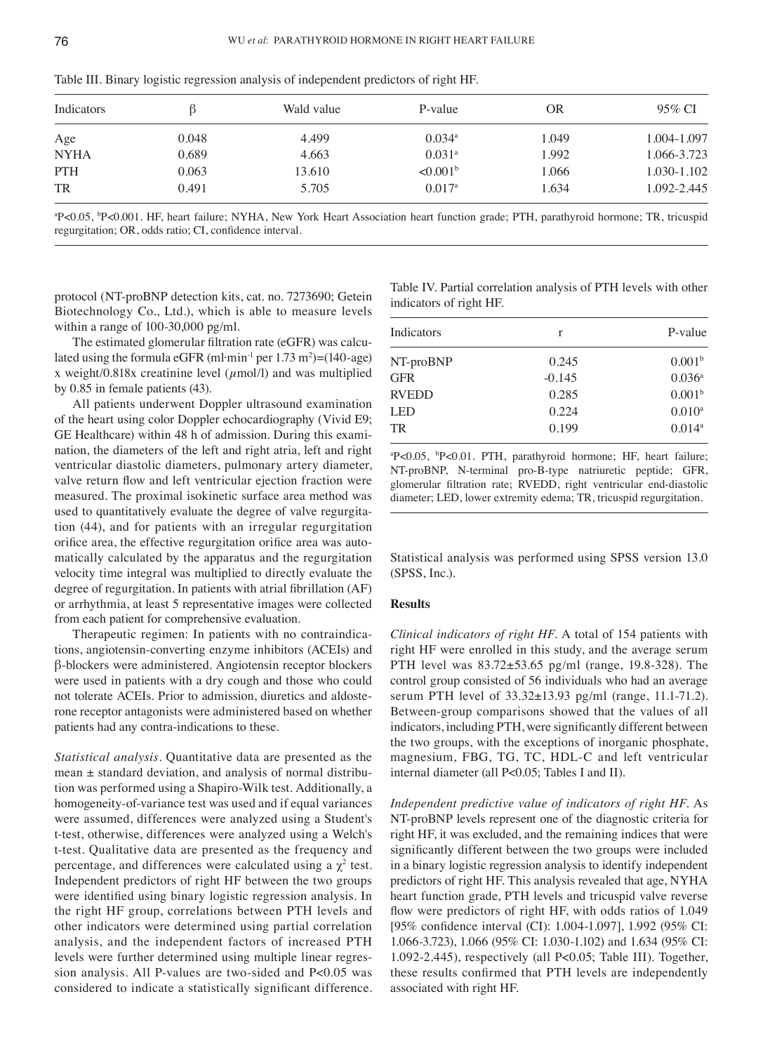| Indicators  |       | Wald value | P-value                | OR    | 95% CI      |
|-------------|-------|------------|------------------------|-------|-------------|
| Age         | 0.048 | 4.499      | $0.034$ <sup>a</sup>   | 1.049 | 1.004-1.097 |
| <b>NYHA</b> | 0.689 | 4.663      | $0.031$ <sup>a</sup>   | 1.992 | 1.066-3.723 |
| <b>PTH</b>  | 0.063 | 13.610     | $< 0.001$ <sup>b</sup> | 1.066 | 1.030-1.102 |
| <b>TR</b>   | 0.491 | 5.705      | $0.017^{\rm a}$        | 1.634 | 1.092-2.445 |

Table III. Binary logistic regression analysis of independent predictors of right HF.

a P<0.05, b P<0.001. HF, heart failure; NYHA, New York Heart Association heart function grade; PTH, parathyroid hormone; TR, tricuspid regurgitation; OR, odds ratio; CI, confidence interval.

protocol (NT-proBNP detection kits, cat. no. 7273690; Getein Biotechnology Co., Ltd.), which is able to measure levels within a range of 100-30,000 pg/ml.

The estimated glomerular filtration rate (eGFR) was calculated using the formula eGFR  ${\rm (ml\cdot min^{-1}\,per\,1.73\,m^2)=(140\text{-age})}$ x weight/0.818x creatinine level  $(\mu \text{mol/l})$  and was multiplied by 0.85 in female patients (43).

All patients underwent Doppler ultrasound examination of the heart using color Doppler echocardiography (Vivid E9; GE Healthcare) within 48 h of admission. During this examination, the diameters of the left and right atria, left and right ventricular diastolic diameters, pulmonary artery diameter, valve return flow and left ventricular ejection fraction were measured. The proximal isokinetic surface area method was used to quantitatively evaluate the degree of valve regurgitation (44), and for patients with an irregular regurgitation orifice area, the effective regurgitation orifice area was automatically calculated by the apparatus and the regurgitation velocity time integral was multiplied to directly evaluate the degree of regurgitation. In patients with atrial fibrillation (AF) or arrhythmia, at least 5 representative images were collected from each patient for comprehensive evaluation.

Therapeutic regimen: In patients with no contraindications, angiotensin-converting enzyme inhibitors (ACEIs) and β‑blockers were administered. Angiotensin receptor blockers were used in patients with a dry cough and those who could not tolerate ACEIs. Prior to admission, diuretics and aldosterone receptor antagonists were administered based on whether patients had any contra-indications to these.

*Statistical analysis.* Quantitative data are presented as the mean  $\pm$  standard deviation, and analysis of normal distribution was performed using a Shapiro-Wilk test. Additionally, a homogeneity-of-variance test was used and if equal variances were assumed, differences were analyzed using a Student's t-test, otherwise, differences were analyzed using a Welch's t-test. Qualitative data are presented as the frequency and percentage, and differences were calculated using a  $\chi^2$  test. Independent predictors of right HF between the two groups were identified using binary logistic regression analysis. In the right HF group, correlations between PTH levels and other indicators were determined using partial correlation analysis, and the independent factors of increased PTH levels were further determined using multiple linear regression analysis. All P-values are two-sided and P<0.05 was considered to indicate a statistically significant difference.

Table IV. Partial correlation analysis of PTH levels with other indicators of right HF.

| Indicators   | r        | P-value            |  |
|--------------|----------|--------------------|--|
| NT-proBNP    | 0.245    | 0.001 <sup>b</sup> |  |
| GFR          | $-0.145$ | $0.036^a$          |  |
| <b>RVEDD</b> | 0.285    | 0.001 <sup>b</sup> |  |
| LED          | 0.224    | $0.010^{a}$        |  |
| TR           | 0.199    | $0.014^{a}$        |  |
|              |          |                    |  |

a P<0.05, b P<0.01. PTH, parathyroid hormone; HF, heart failure; NT-proBNP, N-terminal pro-B-type natriuretic peptide; GFR, glomerular filtration rate; RVEDD, right ventricular end‑diastolic diameter; LED, lower extremity edema; TR, tricuspid regurgitation.

Statistical analysis was performed using SPSS version 13.0 (SPSS, Inc.).

#### **Results**

*Clinical indicators of right HF.* A total of 154 patients with right HF were enrolled in this study, and the average serum PTH level was 83.72±53.65 pg/ml (range, 19.8-328). The control group consisted of 56 individuals who had an average serum PTH level of 33.32±13.93 pg/ml (range, 11.1-71.2). Between-group comparisons showed that the values of all indicators, including PTH, were significantly different between the two groups, with the exceptions of inorganic phosphate, magnesium, FBG, TG, TC, HDL-C and left ventricular internal diameter (all P<0.05; Tables I and II).

*Independent predictive value of indicators of right HF.* As NT-proBNP levels represent one of the diagnostic criteria for right HF, it was excluded, and the remaining indices that were significantly different between the two groups were included in a binary logistic regression analysis to identify independent predictors of right HF. This analysis revealed that age, NYHA heart function grade, PTH levels and tricuspid valve reverse flow were predictors of right HF, with odds ratios of 1.049 [95% confidence interval (CI): 1.004-1.097], 1.992 (95% CI: 1.066-3.723), 1.066 (95% CI: 1.030-1.102) and 1.634 (95% CI: 1.092-2.445), respectively (all P<0.05; Table III). Together, these results confirmed that PTH levels are independently associated with right HF.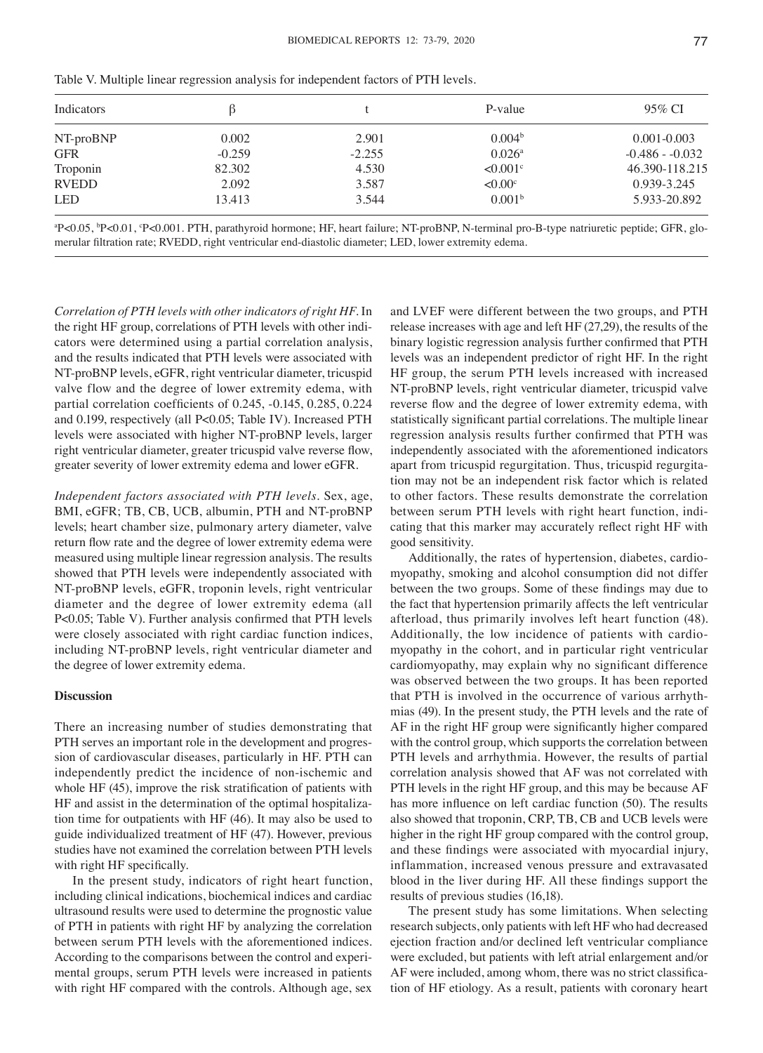| Indicators   |                                      |          | P-value                | 95% CI           |  |
|--------------|--------------------------------------|----------|------------------------|------------------|--|
| NT-proBNP    | 0.004 <sup>b</sup><br>0.002<br>2.901 |          |                        | $0.001 - 0.003$  |  |
| <b>GFR</b>   | $-0.259$                             | $-2.255$ | $0.026^{\rm a}$        | $-0.486 - 0.032$ |  |
| Troponin     | 82.302                               | 4.530    | $< 0.001$ <sup>c</sup> | 46.390-118.215   |  |
| <b>RVEDD</b> | 2.092                                | 3.587    | $< 0.00$ <sup>c</sup>  | 0.939-3.245      |  |
| <b>LED</b>   | 13.413                               | 3.544    | 0.001 <sup>b</sup>     | 5.933-20.892     |  |

Table V. Multiple linear regression analysis for independent factors of PTH levels.

a P<0.05, b P<0.01, c P<0.001. PTH, parathyroid hormone; HF, heart failure; NT-proBNP, N-terminal pro-B-type natriuretic peptide; GFR, glomerular filtration rate; RVEDD, right ventricular end‑diastolic diameter; LED, lower extremity edema.

*Correlation of PTH levels with other indicators of right HF.* In the right HF group, correlations of PTH levels with other indicators were determined using a partial correlation analysis, and the results indicated that PTH levels were associated with NT-proBNP levels, eGFR, right ventricular diameter, tricuspid valve flow and the degree of lower extremity edema, with partial correlation coefficients of 0.245, ‑0.145, 0.285, 0.224 and 0.199, respectively (all P<0.05; Table IV). Increased PTH levels were associated with higher NT-proBNP levels, larger right ventricular diameter, greater tricuspid valve reverse flow, greater severity of lower extremity edema and lower eGFR.

*Independent factors associated with PTH levels.* Sex, age, BMI, eGFR; TB, CB, UCB, albumin, PTH and NT-proBNP levels; heart chamber size, pulmonary artery diameter, valve return flow rate and the degree of lower extremity edema were measured using multiple linear regression analysis. The results showed that PTH levels were independently associated with NT-proBNP levels, eGFR, troponin levels, right ventricular diameter and the degree of lower extremity edema (all P<0.05; Table V). Further analysis confirmed that PTH levels were closely associated with right cardiac function indices, including NT-proBNP levels, right ventricular diameter and the degree of lower extremity edema.

#### **Discussion**

There an increasing number of studies demonstrating that PTH serves an important role in the development and progression of cardiovascular diseases, particularly in HF. PTH can independently predict the incidence of non-ischemic and whole HF (45), improve the risk stratification of patients with HF and assist in the determination of the optimal hospitalization time for outpatients with HF (46). It may also be used to guide individualized treatment of HF (47). However, previous studies have not examined the correlation between PTH levels with right HF specifically.

In the present study, indicators of right heart function, including clinical indications, biochemical indices and cardiac ultrasound results were used to determine the prognostic value of PTH in patients with right HF by analyzing the correlation between serum PTH levels with the aforementioned indices. According to the comparisons between the control and experimental groups, serum PTH levels were increased in patients with right HF compared with the controls. Although age, sex and LVEF were different between the two groups, and PTH release increases with age and left HF (27,29), the results of the binary logistic regression analysis further confirmed that PTH levels was an independent predictor of right HF. In the right HF group, the serum PTH levels increased with increased NT-proBNP levels, right ventricular diameter, tricuspid valve reverse flow and the degree of lower extremity edema, with statistically significant partial correlations. The multiple linear regression analysis results further confirmed that PTH was independently associated with the aforementioned indicators apart from tricuspid regurgitation. Thus, tricuspid regurgitation may not be an independent risk factor which is related to other factors. These results demonstrate the correlation between serum PTH levels with right heart function, indicating that this marker may accurately reflect right HF with good sensitivity.

Additionally, the rates of hypertension, diabetes, cardiomyopathy, smoking and alcohol consumption did not differ between the two groups. Some of these findings may due to the fact that hypertension primarily affects the left ventricular afterload, thus primarily involves left heart function (48). Additionally, the low incidence of patients with cardiomyopathy in the cohort, and in particular right ventricular cardiomyopathy, may explain why no significant difference was observed between the two groups. It has been reported that PTH is involved in the occurrence of various arrhythmias (49). In the present study, the PTH levels and the rate of AF in the right HF group were significantly higher compared with the control group, which supports the correlation between PTH levels and arrhythmia. However, the results of partial correlation analysis showed that AF was not correlated with PTH levels in the right HF group, and this may be because AF has more influence on left cardiac function (50). The results also showed that troponin, CRP, TB, CB and UCB levels were higher in the right HF group compared with the control group, and these findings were associated with myocardial injury, inflammation, increased venous pressure and extravasated blood in the liver during HF. All these findings support the results of previous studies (16,18).

The present study has some limitations. When selecting research subjects, only patients with left HF who had decreased ejection fraction and/or declined left ventricular compliance were excluded, but patients with left atrial enlargement and/or AF were included, among whom, there was no strict classification of HF etiology. As a result, patients with coronary heart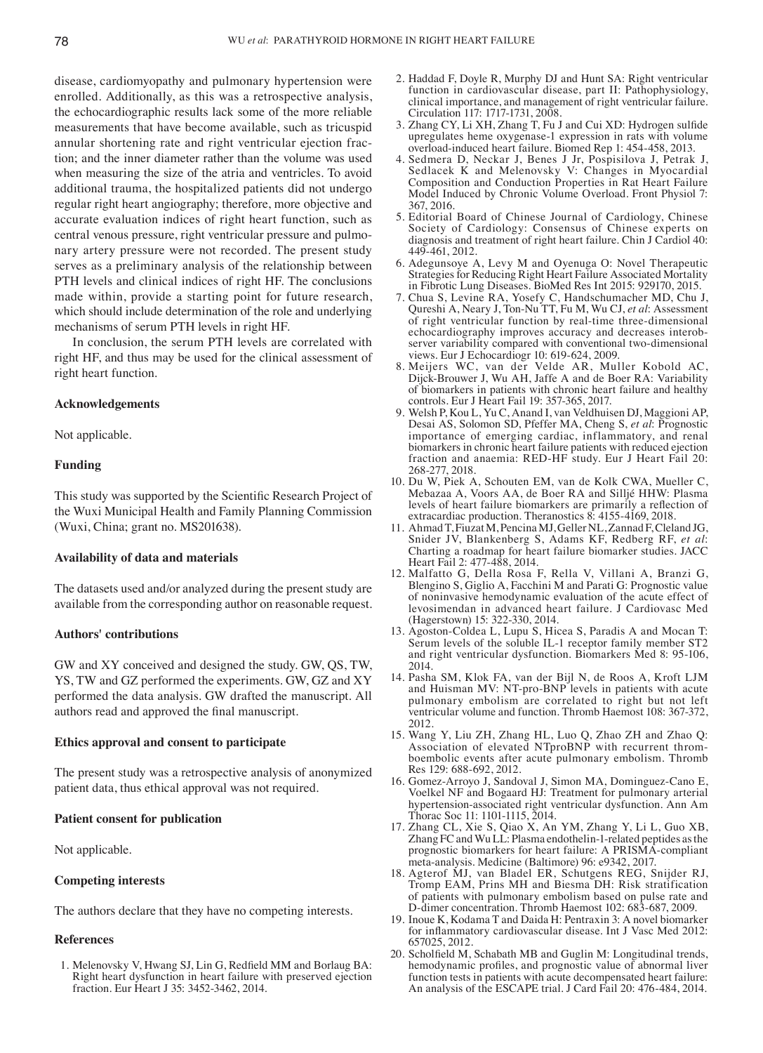disease, cardiomyopathy and pulmonary hypertension were enrolled. Additionally, as this was a retrospective analysis, the echocardiographic results lack some of the more reliable measurements that have become available, such as tricuspid annular shortening rate and right ventricular ejection fraction; and the inner diameter rather than the volume was used when measuring the size of the atria and ventricles. To avoid additional trauma, the hospitalized patients did not undergo regular right heart angiography; therefore, more objective and accurate evaluation indices of right heart function, such as central venous pressure, right ventricular pressure and pulmonary artery pressure were not recorded. The present study serves as a preliminary analysis of the relationship between PTH levels and clinical indices of right HF. The conclusions made within, provide a starting point for future research, which should include determination of the role and underlying mechanisms of serum PTH levels in right HF.

In conclusion, the serum PTH levels are correlated with right HF, and thus may be used for the clinical assessment of right heart function.

# **Acknowledgements**

Not applicable.

## **Funding**

This study was supported by the Scientific Research Project of the Wuxi Municipal Health and Family Planning Commission (Wuxi, China; grant no. MS201638).

#### **Availability of data and materials**

The datasets used and/or analyzed during the present study are available from the corresponding author on reasonable request.

#### **Authors' contributions**

GW and XY conceived and designed the study. GW, QS, TW, YS, TW and GZ performed the experiments. GW, GZ and XY performed the data analysis. GW drafted the manuscript. All authors read and approved the final manuscript.

#### **Ethics approval and consent to participate**

The present study was a retrospective analysis of anonymized patient data, thus ethical approval was not required.

#### **Patient consent for publication**

Not applicable.

#### **Competing interests**

The authors declare that they have no competing interests.

#### **References**

1. Melenovsky V, Hwang SJ, Lin G, Redfield MM and Borlaug BA: Right heart dysfunction in heart failure with preserved ejection fraction. Eur Heart J 35: 3452-3462, 2014.

- 2. Haddad F, Doyle R, Murphy DJ and Hunt SA: Right ventricular function in cardiovascular disease, part II: Pathophysiology, clinical importance, and management of right ventricular failure. Circulation 117: 1717-1731, 2008.
- 3. Zhang CY, Li XH, Zhang T, Fu J and Cui XD: Hydrogen sulfide upregulates heme oxygenase-1 expression in rats with volume overload-induced heart failure. Biomed Rep 1: 454-458, 2013.
- 4. Sedmera D, Neckar J, Benes J Jr, Pospisilova J, Petrak J, Sedlacek K and Melenovsky V: Changes in Myocardial Composition and Conduction Properties in Rat Heart Failure Model Induced by Chronic Volume Overload. Front Physiol 7: 367, 2016.
- 5. Editorial Board of Chinese Journal of Cardiology, Chinese Society of Cardiology: Consensus of Chinese experts on diagnosis and treatment of right heart failure. Chin J Cardiol 40: 449-461, 2012.
- 6. Adegunsoye A, Levy M and Oyenuga O: Novel Therapeutic Strategies for Reducing Right Heart Failure Associated Mortality in Fibrotic Lung Diseases. BioMed Res Int 2015: 929170, 2015.
- 7. Chua S, Levine RA, Yosefy C, Handschumacher MD, Chu J, Qureshi A, Neary J, Ton-Nu TT, Fu M, Wu CJ, *et al*: Assessment of right ventricular function by real-time three-dimensional server variability compared with conventional two-dimensional views. Eur J Echocardiogr 10: 619-624, 2009.
- 8. Meijers WC, van der Velde AR, Muller Kobold AC, Dijck-Brouwer J, Wu AH, Jaffe A and de Boer RA: Variability of biomarkers in patients with chronic heart failure and healthy controls. Eur J Heart Fail 19: 357-365, 2017.
- 9. Welsh P, Kou L, Yu C, Anand I, van Veldhuisen DJ, Maggioni AP, Desai AS, Solomon SD, Pfeffer MA, Cheng S, *et al*: Prognostic importance of emerging cardiac, inflammatory, and renal biomarkers in chronic heart failure patients with reduced ejection fraction and anaemia: RED-HF study. Eur J Heart Fail 20: 268-277, 2018.
- 10. Du W, Piek A, Schouten EM, van de Kolk CWA, Mueller C, Mebazaa A, Voors AA, de Boer RA and Silljé HHW: Plasma levels of heart failure biomarkers are primarily a reflection of extracardiac production. Theranostics 8: 4155-4169, 2018.
- 11. Ahmad T, Fiuzat M, Pencina MJ, Geller NL, Zannad F, Cleland JG, Snider JV, Blankenberg S, Adams KF, Redberg RF, et al: Charting a roadmap for heart failure biomarker studies. JACC Heart Fail 2: 477-488, 2014.
- 12. Malfatto G, Della Rosa F, Rella V, Villani A, Branzi G, Blengino S, Giglio A, Facchini M and Parati G: Prognostic value of noninvasive hemodynamic evaluation of the acute effect of levosimendan in advanced heart failure. J Cardiovasc Med (Hagerstown) 15: 322-330, 2014.
- 13. Agoston-Coldea L, Lupu S, Hicea S, Paradis A and Mocan T: Serum levels of the soluble IL-1 receptor family member ST2 and right ventricular dysfunction. Biomarkers Med 8: 95-106, 2014.
- 14. Pasha SM, Klok FA, van der Bijl N, de Roos A, Kroft LJM and Huisman MV: NT-pro-BNP levels in patients with acute pulmonary embolism are correlated to right but not left ventricular volume and function. Thromb Haemost 108: 367-372, 2012.
- 15. Wang Y, Liu ZH, Zhang HL, Luo Q, Zhao ZH and Zhao Q: boembolic events after acute pulmonary embolism. Thromb Res 129: 688-692, 2012.
- 16. Gomez-Arroyo J, Sandoval J, Simon MA, Dominguez-Cano E, Voelkel NF and Bogaard HJ: Treatment for pulmonary arterial hypertension-associated right ventricular dysfunction. Ann Am Thorac Soc 11: 1101-1115, 2014.
- 17. Zhang CL, Xie S, Qiao X, An YM, Zhang Y, Li L, Guo XB, Zhang FC and Wu LL: Plasma endothelin-1-related peptides as the prognostic biomarkers for heart failure: A PRISMA-compliant meta-analysis. Medicine (Baltimore) 96: e9342, 2017.
- 18. Agterof MJ, van Bladel ER, Schutgens REG, Snijder RJ, Tromp EAM, Prins MH and Biesma DH: Risk stratification of patients with pulmonary embolism based on pulse rate and D-dimer concentration. Thromb Haemost 102: 683-687, 2009.
- 19. Inoue K, Kodama T and Daida H: Pentraxin 3: A novel biomarker for inflammatory cardiovascular disease. Int J Vasc Med 2012: 657025, 2012.
- 20. Scholfield M, Schabath MB and Guglin M: Longitudinal trends, hemodynamic profiles, and prognostic value of abnormal liver function tests in patients with acute decompensated heart failure: An analysis of the ESCAPE trial. J Card Fail 20: 476-484, 2014.